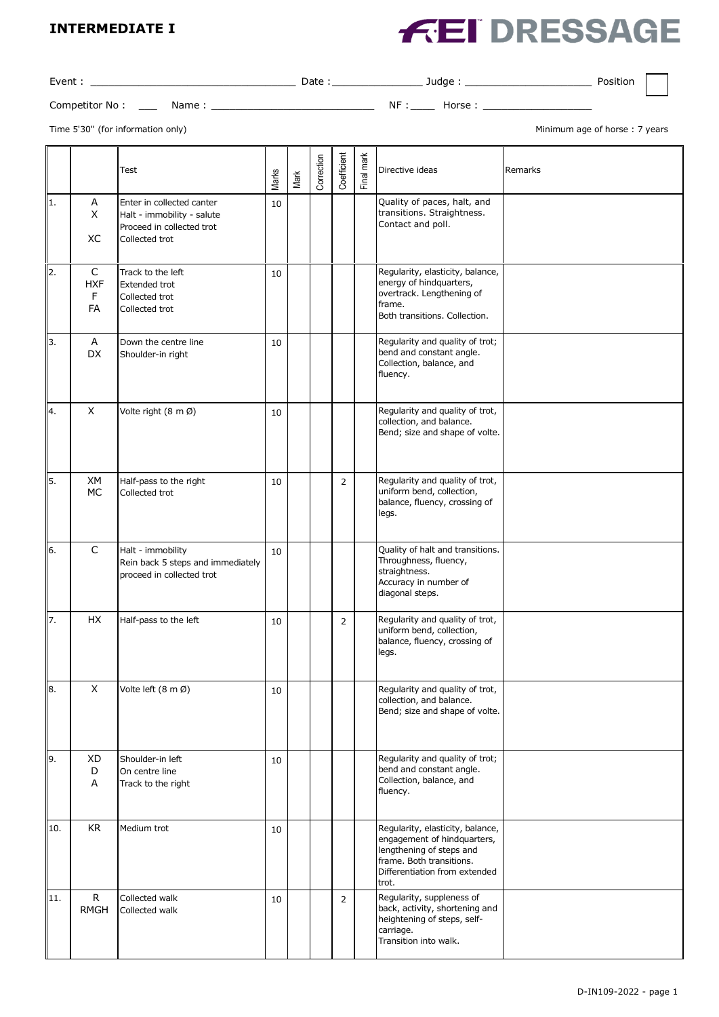#### **INTERMEDIATE I**

# **FEI DRESSAGE**

| Event:         |      | Date | Judge | Position |
|----------------|------|------|-------|----------|
| Competitor No: | Name | ΝF   | Horse |          |

Time 5'30" (for information only) and the state of the state of the state of the state of the state of the state of the state of the state of the state of the state of the state of the state of the state of the state of th

|                           |                                       | Test                                                                                                   | Marks  | Mark | Correction | Coefficient    | Final mark | Directive ideas                                                                                                                                                   | Remarks |
|---------------------------|---------------------------------------|--------------------------------------------------------------------------------------------------------|--------|------|------------|----------------|------------|-------------------------------------------------------------------------------------------------------------------------------------------------------------------|---------|
| 1.                        | А<br>X<br>ХC                          | Enter in collected canter<br>Halt - immobility - salute<br>Proceed in collected trot<br>Collected trot | 10     |      |            |                |            | Quality of paces, halt, and<br>transitions. Straightness.<br>Contact and poll.                                                                                    |         |
| 2.                        | $\mathsf{C}$<br><b>HXF</b><br>F<br>FA | Track to the left<br><b>Extended trot</b><br>Collected trot<br>Collected trot                          | 10     |      |            |                |            | Regularity, elasticity, balance,<br>energy of hindquarters,<br>overtrack. Lengthening of<br>frame.<br>Both transitions. Collection.                               |         |
| 3.                        | A<br>DX                               | Down the centre line<br>Shoulder-in right                                                              | 10     |      |            |                |            | Regularity and quality of trot;<br>bend and constant angle.<br>Collection, balance, and<br>fluency.                                                               |         |
| 4.                        | X                                     | Volte right (8 m Ø)                                                                                    | 10     |      |            |                |            | Regularity and quality of trot,<br>collection, and balance.<br>Bend; size and shape of volte.                                                                     |         |
| 5.                        | XM<br>МC                              | Half-pass to the right<br>Collected trot                                                               | 10     |      |            | $\overline{2}$ |            | Regularity and quality of trot,<br>uniform bend, collection,<br>balance, fluency, crossing of<br>legs.                                                            |         |
| 6.                        | $\mathsf{C}$                          | Halt - immobility<br>Rein back 5 steps and immediately<br>proceed in collected trot                    | 10     |      |            |                |            | Quality of halt and transitions.<br>Throughness, fluency,<br>straightness.<br>Accuracy in number of<br>diagonal steps.                                            |         |
| 7.                        | HX                                    | Half-pass to the left                                                                                  | 10     |      |            | $\overline{2}$ |            | Regularity and quality of trot,<br>uniform bend, collection,<br>balance, fluency, crossing of<br>legs.                                                            |         |
| $\overline{\mathbf{8}}$ . | X                                     | Volte left (8 m Ø)                                                                                     | $10\,$ |      |            |                |            | Regularity and quality of trot,<br>collection, and balance.<br>Bend; size and shape of volte.                                                                     |         |
| 9.                        | XD<br>D<br>Α                          | Shoulder-in left<br>On centre line<br>Track to the right                                               | 10     |      |            |                |            | Regularity and quality of trot;<br>bend and constant angle.<br>Collection, balance, and<br>fluency.                                                               |         |
| 10.                       | KR                                    | Medium trot                                                                                            | 10     |      |            |                |            | Regularity, elasticity, balance,<br>engagement of hindquarters,<br>lengthening of steps and<br>frame. Both transitions.<br>Differentiation from extended<br>trot. |         |
| 11.                       | $\mathsf{R}$<br><b>RMGH</b>           | Collected walk<br>Collected walk                                                                       | 10     |      |            | $\overline{2}$ |            | Regularity, suppleness of<br>back, activity, shortening and<br>heightening of steps, self-<br>carriage.<br>Transition into walk.                                  |         |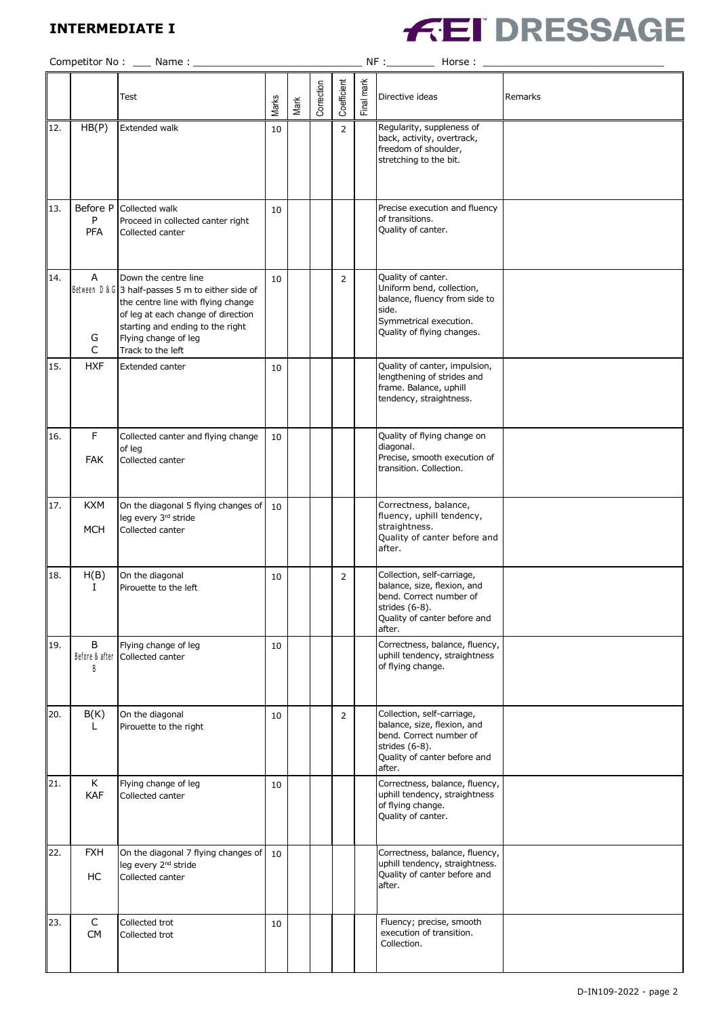## **INTERMEDIATE I**



|     |                             | Competitor No: ____ Name: _                                                                                                                                                                                                            |       |      |            |                |            | NF :_____________ Horse :                                                                                                                         |         |
|-----|-----------------------------|----------------------------------------------------------------------------------------------------------------------------------------------------------------------------------------------------------------------------------------|-------|------|------------|----------------|------------|---------------------------------------------------------------------------------------------------------------------------------------------------|---------|
|     |                             | Test                                                                                                                                                                                                                                   | Marks | Mark | Correction | Coefficient    | Final mark | Directive ideas                                                                                                                                   | Remarks |
| 12. | HB(P)                       | Extended walk                                                                                                                                                                                                                          | 10    |      |            | $\overline{2}$ |            | Regularity, suppleness of<br>back, activity, overtrack,<br>freedom of shoulder,<br>stretching to the bit.                                         |         |
| 13. | Before P<br>P<br><b>PFA</b> | Collected walk<br>Proceed in collected canter right<br>Collected canter                                                                                                                                                                | 10    |      |            |                |            | Precise execution and fluency<br>of transitions.<br>Quality of canter.                                                                            |         |
| 14. | A<br>G<br>C                 | Down the centre line<br>Between D & G 3 half-passes 5 m to either side of<br>the centre line with flying change<br>of leg at each change of direction<br>starting and ending to the right<br>Flying change of leg<br>Track to the left | 10    |      |            | $\overline{2}$ |            | Quality of canter.<br>Uniform bend, collection,<br>balance, fluency from side to<br>side.<br>Symmetrical execution.<br>Quality of flying changes. |         |
| 15. | <b>HXF</b>                  | Extended canter                                                                                                                                                                                                                        | 10    |      |            |                |            | Quality of canter, impulsion,<br>lengthening of strides and<br>frame. Balance, uphill<br>tendency, straightness.                                  |         |
| 16. | F<br><b>FAK</b>             | Collected canter and flying change<br>of leg<br>Collected canter                                                                                                                                                                       | 10    |      |            |                |            | Quality of flying change on<br>diagonal.<br>Precise, smooth execution of<br>transition. Collection.                                               |         |
| 17. | <b>KXM</b><br><b>MCH</b>    | On the diagonal 5 flying changes of<br>leg every 3rd stride<br>Collected canter                                                                                                                                                        | 10    |      |            |                |            | Correctness, balance,<br>fluency, uphill tendency,<br>straightness.<br>Quality of canter before and<br>after.                                     |         |
| 18. | H(B)<br>Ι.                  | On the diagonal<br>Pirouette to the left                                                                                                                                                                                               | 10    |      |            | $\overline{2}$ |            | Collection, self-carriage,<br>balance, size, flexion, and<br>bend. Correct number of<br>strides (6-8).<br>Quality of canter before and<br>after.  |         |
| 19. | В<br>Before & after<br>B    | Flying change of leg<br>Collected canter                                                                                                                                                                                               | 10    |      |            |                |            | Correctness, balance, fluency,<br>uphill tendency, straightness<br>of flying change.                                                              |         |
| 20. | B(K)<br>L.                  | On the diagonal<br>Pirouette to the right                                                                                                                                                                                              | 10    |      |            | $\overline{2}$ |            | Collection, self-carriage,<br>balance, size, flexion, and<br>bend. Correct number of<br>strides (6-8).<br>Quality of canter before and<br>after.  |         |
| 21. | K<br>KAF                    | Flying change of leg<br>Collected canter                                                                                                                                                                                               | 10    |      |            |                |            | Correctness, balance, fluency,<br>uphill tendency, straightness<br>of flying change.<br>Quality of canter.                                        |         |
| 22. | <b>FXH</b><br>HC            | On the diagonal 7 flying changes of<br>leg every 2 <sup>nd</sup> stride<br>Collected canter                                                                                                                                            | 10    |      |            |                |            | Correctness, balance, fluency,<br>uphill tendency, straightness.<br>Quality of canter before and<br>after.                                        |         |
| 23. | $\mathsf C$<br><b>CM</b>    | Collected trot<br>Collected trot                                                                                                                                                                                                       | 10    |      |            |                |            | Fluency; precise, smooth<br>execution of transition.<br>Collection.                                                                               |         |